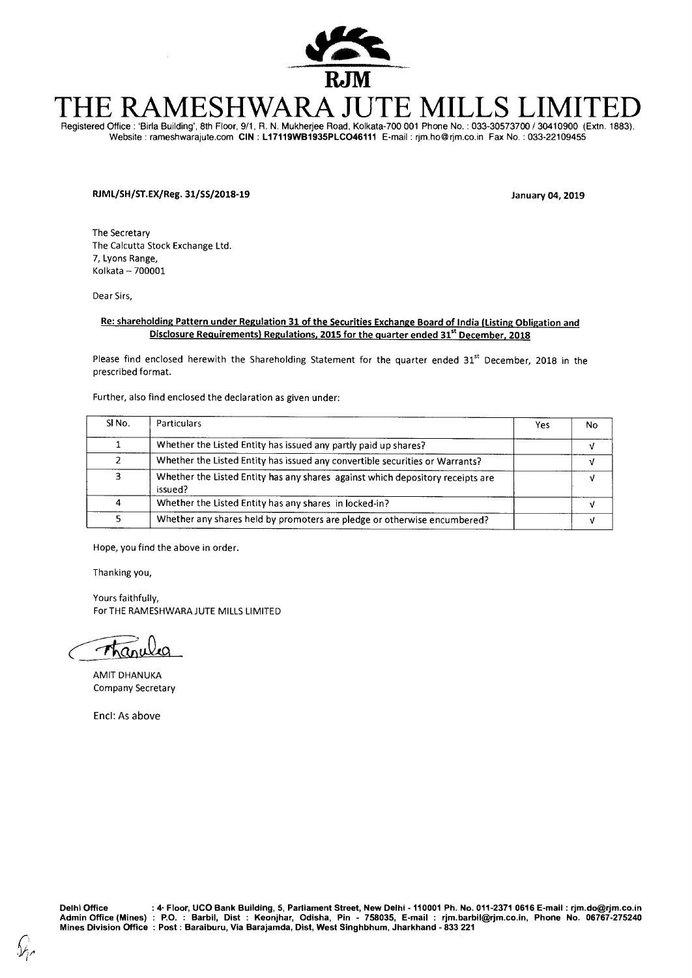

# SHWARA JUTE MIL

Registered Office : 'Birla Building', 8th Floor, 9/1, R. N. Mukherjee Road, Kolkata-700 001 Phone No. : 033-30573700 / 30410900 (Extn. 1883), Website : rameshwarajute.com **CIN : L17119WB1935PLC046111** E-mail : rjm.ho@rjm.co.inFax No. : 033-22109455

# **RJML/SH/ST.EX/Reg. 31/SS/2018-19 January 04, 2019**

The Secretary The Calcutta Stock Exchange Ltd. 7, Lyons Range, Kolkata — 700001

Dear Sirs,

#### **Re: shareholding Pattern under Regulation 31 of the Securities Exchange Board of India (Listing Obligation and Disclosure Requirements) Regulations, 2015 for the quarter ended 31<sup>st</sup> December, 2018**

Please find enclosed herewith the Shareholding Statement for the quarter ended 31<sup>st</sup> December, 2018 in the prescribed format.

Further, also find enclosed the declaration as given under:

| SI <sub>No.</sub> | Particulars                                                                               | Yes | No |
|-------------------|-------------------------------------------------------------------------------------------|-----|----|
|                   | Whether the Listed Entity has issued any partly paid up shares?                           |     |    |
|                   | Whether the Listed Entity has issued any convertible securities or Warrants?              |     |    |
|                   | Whether the Listed Entity has any shares against which depository receipts are<br>issued? |     |    |
|                   | Whether the Listed Entity has any shares in locked-in?                                    |     |    |
|                   | Whether any shares held by promoters are pledge or otherwise encumbered?                  |     |    |

Hope, you find the above in order.

Thanking you,

Yours faithfully, For THE RAMESHWARAJUTE MILLS LIMITED

 $\tau$ 

AMIT DHANUKA Company Secretary

Encl: As above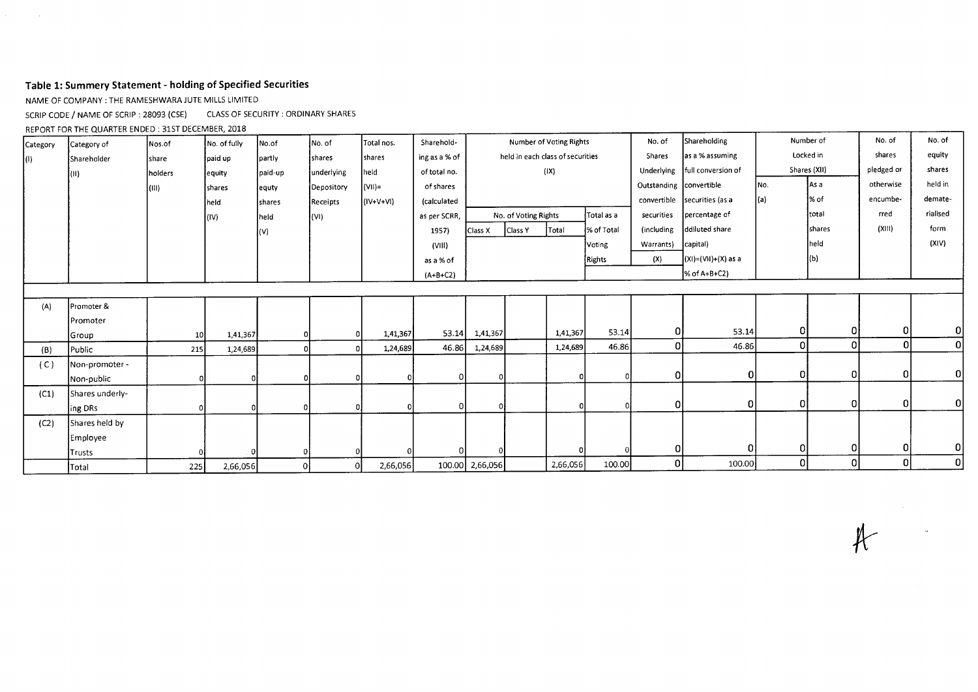# Table 1: Summery Statement - holding of Specified Securities

NAME OF COMPANY : THE RAMESHWARA JUTE MILLS LIMITED

 $\Delta \sim 1$ 

SCRIP CODE / NAME OF SCRIP : 28093 (CSE) CLASS OF SECURITY : ORDINARY SHARES

REPORT FOR THE QUARTER ENDED :

| Category | Category of        | Nos.of          | No. of fully | No.of        | INo. of    | Total nos.  | Sharehold-    |                 |                      | Number of Voting Rights          |            | No. of                  | Shareholding                    |           | Number of    |            | No. of         |
|----------|--------------------|-----------------|--------------|--------------|------------|-------------|---------------|-----------------|----------------------|----------------------------------|------------|-------------------------|---------------------------------|-----------|--------------|------------|----------------|
| IO).     | <b>Shareholder</b> | share           | paid up      | partly       | shares     | shares      | ing as a % of |                 |                      | held in each class of securities |            | Shares                  | as a % assuming                 | Locked in |              | shares     | equity         |
|          | (II)               | holders         | equity       | paid-up      | underlying | held        | of total no.  |                 |                      | $( X\rangle)$                    |            |                         | Underlying   full conversion of |           | Shares (XII) | pledged or | shares         |
|          |                    | (111)           | shares       | equty        | Depository | $=$ (VII)   | of shares     |                 |                      |                                  |            | Outstanding convertible |                                 | INo.      | As a         | otherwise  | held in        |
|          |                    |                 | held         | shares       | Receipts   | $(IV+V+VI)$ | (calculated   |                 |                      |                                  |            |                         | convertible securities (as a    | (a)       | % of         | encumbe-   | demate-        |
|          |                    |                 | (IV)         | held         | (VI)       |             | as per SCRR,  |                 | No. of Voting Rights |                                  | Total as a | securities              | percentage of                   |           | Itotal       | rred       | rialised       |
|          |                    |                 |              | (V)          |            |             | 1957)         | Class X         | Class Y              | <b>Total</b>                     | % of Total | (including              | ddiluted share                  |           | shares       | (XIII)     | form           |
|          |                    |                 |              |              |            |             | (VIII)        |                 |                      |                                  | Voting     | Warrants)               | capital)                        |           | held         |            | (XIV)          |
|          |                    |                 |              |              |            |             | as a % of     |                 |                      |                                  | Rights     | (X)                     | $(xI) = (VII)+(X)$ as a         |           | $\vert$ (b)  |            |                |
|          |                    |                 |              |              |            |             | $(A+B+C2)$    |                 |                      |                                  |            |                         | % of A+B+C2)                    |           |              |            |                |
|          |                    |                 |              |              |            |             |               |                 |                      |                                  |            |                         |                                 |           |              |            |                |
| (A)      | Promoter &         |                 |              |              |            |             |               |                 |                      |                                  |            |                         |                                 |           |              |            |                |
|          | Promoter           |                 |              |              |            |             |               |                 |                      |                                  |            |                         |                                 |           |              |            |                |
|          | <b>Group</b>       | 10 <sup>1</sup> | 1,41,367     |              |            | 1,41,367    | 53.14         | 1,41,367        |                      | 1,41,367                         | 53.14      | Οļ                      | 53.14                           | 01        | 0            | 0          | $\Omega$       |
| (B)      | Public             | 215             | 1,24,689     |              |            | 1,24,689    | 46.86         | 1,24,689        |                      | 1,24,689                         | 46.86      | 0l                      | 46.86                           | οI        | $\mathbf 0$  | 0          | $\overline{0}$ |
| (C)      | Non-promoter -     |                 |              |              |            |             |               |                 |                      |                                  |            |                         |                                 |           |              |            |                |
|          | Non-public         |                 |              |              |            |             |               |                 |                      |                                  |            | 0                       | 0                               | οļ        | 0            | 0          | $\Omega$       |
| (C1)     | Shares underly-    |                 |              |              |            |             |               |                 |                      |                                  |            |                         |                                 |           |              |            |                |
|          | ing DRs            |                 |              |              |            |             |               | n               |                      |                                  |            | οI                      | 0                               | Οl        | 0            | 0          | $\Omega$       |
| (C2)     | Shares held by     |                 |              |              |            |             |               |                 |                      |                                  |            |                         |                                 |           |              |            |                |
|          | Employee           |                 |              |              |            |             |               |                 |                      |                                  |            |                         |                                 |           |              |            |                |
|          | Trusts             |                 |              |              |            |             |               |                 |                      |                                  |            | 0                       |                                 | $\Omega$  | 0            | 0          | $\Omega$       |
|          | Total              | 225             | 2,66,056     | $\mathbf{0}$ |            | 2,66,056    |               | 100.00 2,66,056 |                      | 2,66,056                         | 100.00     | οI                      | 100.00                          | οl        | 0            | 0          | 0              |

 $\mathcal{H}$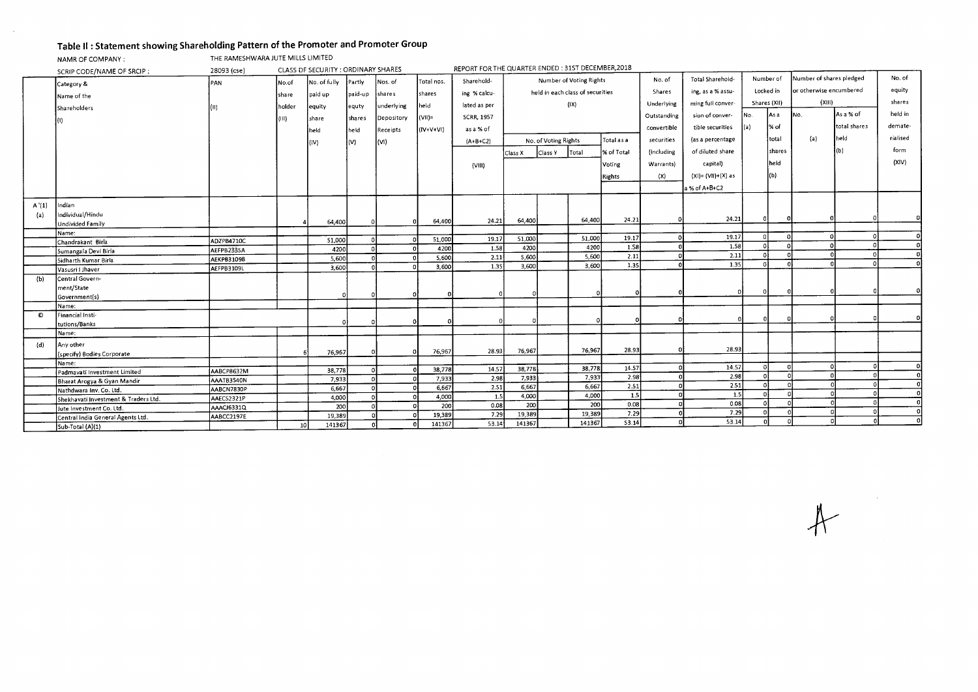# Table II : Statement showing Shareholding Pattern of the Promoter and Promoter Group

NAMR OF COMPANY : THE RAMESHWARA JUTE MILLS LIMITED

 $\sim$ 

|       | CLASS DF SECURITY : ORDINARY SHARES<br>28093 (cse)<br>SCRIP CODE/NAME OF SRCIP: |            |                 |              |                |            |              |                   | REPORT FOR THE QUARTER ENDED: 31ST DECEMBER, 2018 |                      |                                  |            |             |                       |              |                |                          |              |          |
|-------|---------------------------------------------------------------------------------|------------|-----------------|--------------|----------------|------------|--------------|-------------------|---------------------------------------------------|----------------------|----------------------------------|------------|-------------|-----------------------|--------------|----------------|--------------------------|--------------|----------|
|       | Category &                                                                      | PAN        | No.of           | No. of fully | Partly         | Nos. of    | Total nos.   | Sharehold-        | Number of Voting Rights                           |                      |                                  |            | No. of      | Total Sharehold-      | Number of    |                | Number of shares pledged |              | No. of   |
|       | Name of the                                                                     |            | share           | paid up      | paid-up        | shares     | shares       | ing % calcu-      |                                                   |                      | held in each class of securities |            | Shares      | ing, as a % assu-     | Locked in    |                | or otherwise encumbered  |              | equity   |
|       |                                                                                 |            |                 |              |                | underlying | held         | lated as per      |                                                   |                      | (1X)                             |            | Underlying  | ming full conver-     | Shares (XII) |                | (XIII)                   |              | shares   |
|       | Shareholders                                                                    | l(II).     | holder          | equity       | equty          |            |              |                   |                                                   |                      |                                  |            | Outstanding | sion of conver-       | [No.         | IAs a          | No.                      | As a % of    | held in  |
|       |                                                                                 |            | (III)           | share        | shares         | Depository | $ V(1) =$    | <b>SCRR, 1957</b> |                                                   |                      |                                  |            |             |                       |              |                |                          |              | demate-  |
|       |                                                                                 |            |                 | held         | held           | Receipts   | (IV+V+VI)    | as a % of         |                                                   |                      |                                  |            | convertible | tible securities      | (a)          | l% of          |                          | total shares |          |
|       |                                                                                 |            |                 | (IV)         | $\mathsf{(V)}$ | (V1)       |              | $(A+B+C2)$        |                                                   | No. of Voting Rights |                                  | Total as a | securities  | (as a percentage      |              | total          | (a)                      | held         | rialised |
|       |                                                                                 |            |                 |              |                |            |              |                   | Class X                                           | Class Y              | Total                            | % of Total | fincluding  | of diluted share      |              | <b>Ishares</b> |                          | (b)          | form     |
|       |                                                                                 |            |                 |              |                |            |              | (VIII)            |                                                   | Voting               |                                  |            | Warrants)   | capital)              |              | held           |                          |              | (XIV)    |
|       |                                                                                 |            |                 |              |                |            |              |                   |                                                   |                      |                                  |            | (X)         | $(XI) = (VII)+(X)$ as |              | (b)            |                          |              |          |
|       |                                                                                 |            |                 |              |                |            |              |                   |                                                   |                      |                                  | Rights     |             |                       |              |                |                          |              |          |
|       |                                                                                 |            |                 |              |                |            |              |                   |                                                   |                      |                                  |            |             | a % of A+B+C2         |              |                |                          |              |          |
| A'(1) | Indian                                                                          |            |                 |              |                |            |              |                   |                                                   |                      |                                  |            |             |                       |              |                |                          |              |          |
| (a)   | Individual/Hindu                                                                |            |                 |              |                |            |              |                   |                                                   |                      |                                  |            |             |                       |              |                |                          |              |          |
|       | <b>Undivided Family</b>                                                         |            |                 | 64,400       |                |            | 64,400       | 24.21             | 64,400                                            |                      | 64,400                           | 24.21      |             | 24.21                 |              |                |                          |              |          |
|       | Name:                                                                           |            |                 |              |                |            |              |                   |                                                   |                      |                                  |            |             |                       |              |                |                          |              |          |
|       | Chandrakant Birla                                                               | ADZPB4710C |                 | 51,000       |                |            | 51,000       | 19.17             | 51,000                                            |                      | 51,000                           | 19.17      |             | 19.17                 |              |                |                          |              | $\Omega$ |
|       | Sumangala Devi Birla                                                            | AEFPB2335A |                 | 4200         |                |            | 4200         | 1.58              | 4200                                              |                      | 4200                             | 1.S8       |             | 1.58                  |              |                |                          |              | $\circ$  |
|       | Sidharth Kumar Birla                                                            | AEKPB3109B |                 | 5,600        |                |            | 5,600        | 2.11              | 5,600                                             |                      | 5,600                            | 2.11       |             | 2.11<br>1.35          |              |                |                          |              | $\Omega$ |
|       | Vasusri I Jhaver                                                                | AEFPB3109L |                 | 3,600        |                |            | 3,600        | 1.35              | 3,600                                             |                      | 3,600                            | 1.35       |             |                       |              |                |                          |              |          |
| (b)   | Central Govern-                                                                 |            |                 |              |                |            |              |                   |                                                   |                      |                                  |            |             |                       |              |                |                          |              |          |
|       | ment/State                                                                      |            |                 |              |                |            |              |                   |                                                   |                      | $\Omega$                         |            |             |                       |              |                |                          |              |          |
|       | Government(s)                                                                   |            |                 |              |                |            |              |                   |                                                   |                      |                                  |            |             |                       |              |                |                          |              |          |
|       | Name:                                                                           |            |                 |              |                |            |              |                   |                                                   |                      |                                  |            |             |                       |              |                |                          |              |          |
| O     | Financial Insti-                                                                |            |                 |              |                |            | $\Omega$     |                   |                                                   |                      |                                  |            |             |                       |              |                |                          |              |          |
|       | tutions/Banks                                                                   |            |                 |              |                |            |              |                   |                                                   |                      |                                  |            |             |                       |              |                |                          |              |          |
|       | Name:                                                                           |            |                 |              |                |            |              |                   |                                                   |                      |                                  |            |             |                       |              |                |                          |              |          |
| (d)   | Any other                                                                       |            |                 |              |                |            |              |                   |                                                   |                      |                                  |            |             | 28.93                 |              |                |                          |              |          |
|       | (specify) Bodies Corporate                                                      |            |                 | 76,967       |                |            | 76,967       | 28.93             | 76,967                                            |                      | 76,967                           | 28.93      |             |                       |              |                |                          |              |          |
|       | Name:                                                                           |            |                 |              |                |            |              |                   |                                                   |                      | 38,778                           | 14.57      |             | 14.57                 | $\Omega$     |                |                          |              | ΩI       |
|       | Padmavati Investment Limited                                                    | AABCP8632M |                 | 38,778       |                |            | 38,778       | 14.57             | 38,778                                            |                      | 7,933                            | 2.98       |             | 2.98                  | $\Omega$     |                |                          |              | ΩÌ       |
|       | Bharat Arogya & Gyan Mandir                                                     | AAATB3540N |                 | 7,933        |                |            | 7,933        | 2.98              | 7,933<br>6,667                                    |                      | 6,667                            | 2.51       |             | 2.51                  | οI           |                |                          |              | n1       |
|       | Nathdwara Inv, Co. Ltd.                                                         | AABCN7830P |                 | 6,667        |                |            | 6,667        | 2.51<br>1.5       | 4.000                                             |                      | 4,000                            | 1.5        |             | 1.5                   | $\Omega$     |                |                          |              | -ni      |
|       | Shekhavati Investment & Traders Ltd.                                            | AAECS2321P |                 | 4,000        |                |            | 4,000<br>200 | 0.08              | 200                                               |                      | 200                              | 0.08       |             | 0.08                  | $\Omega$     |                |                          |              | $\Omega$ |
|       | Jute Investment Co. Ltd.                                                        | AAACJ6331Q |                 | 200          |                |            | 19,389       | 7.29              | 19,389                                            |                      | 19,389                           | 7.29       |             | 7.29                  | $\mathbf{r}$ |                |                          |              | $\Omega$ |
|       | Central India General Agents Ltd.                                               | AABCC2197E |                 | 19,389       |                |            | 141367       | 53.14             | 141367                                            |                      | 141367                           | 53.14      |             | 53.14                 |              |                |                          |              | $\Omega$ |
|       | Sub-Total (A)(1)                                                                |            | 10 <sup>1</sup> | 141367       |                |            |              |                   |                                                   |                      |                                  |            |             |                       |              |                |                          |              |          |

 $#$ 

 $\label{eq:2} \begin{split} \frac{1}{\sqrt{2}}\left(\frac{1}{\sqrt{2}}\right) & = \frac{1}{2}\left(\frac{1}{2}\right) \frac{1}{2} \left(\frac{1}{2}\right) \frac{1}{2} \left(\frac{1}{2}\right) \frac{1}{2} \left(\frac{1}{2}\right) \frac{1}{2} \left(\frac{1}{2}\right) \frac{1}{2} \left(\frac{1}{2}\right) \frac{1}{2} \left(\frac{1}{2}\right) \frac{1}{2} \left(\frac{1}{2}\right) \frac{1}{2} \left(\frac{1}{2}\right) \frac{1}{2} \left(\frac{1}{2}\right) \frac$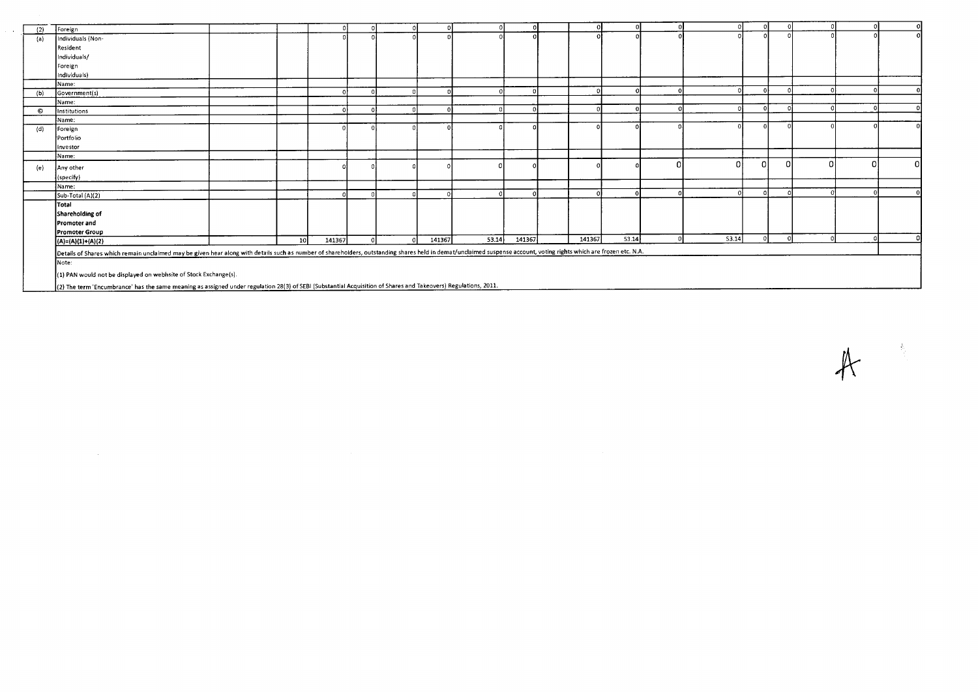| (2) | Foreign                                                                                                                                                                                                             |    |        |            |        |       |        |        |       |       |          |    |  |  |
|-----|---------------------------------------------------------------------------------------------------------------------------------------------------------------------------------------------------------------------|----|--------|------------|--------|-------|--------|--------|-------|-------|----------|----|--|--|
| (a) | Individuals (Non-                                                                                                                                                                                                   |    |        |            |        |       |        |        |       |       |          |    |  |  |
|     | Resident                                                                                                                                                                                                            |    |        |            |        |       |        |        |       |       |          |    |  |  |
|     | Individuals/                                                                                                                                                                                                        |    |        |            |        |       |        |        |       |       |          |    |  |  |
|     | Foreign                                                                                                                                                                                                             |    |        |            |        |       |        |        |       |       |          |    |  |  |
|     | Individuals)                                                                                                                                                                                                        |    |        |            |        |       |        |        |       |       |          |    |  |  |
|     | Name:                                                                                                                                                                                                               |    |        |            |        |       |        |        |       |       |          |    |  |  |
| (b) | Government(s)                                                                                                                                                                                                       |    |        |            |        |       |        |        |       |       |          |    |  |  |
|     | Name:                                                                                                                                                                                                               |    |        |            |        |       |        |        |       |       |          |    |  |  |
| O   | Institutions                                                                                                                                                                                                        |    |        |            |        |       |        |        |       |       |          |    |  |  |
|     | Name:                                                                                                                                                                                                               |    |        |            |        |       |        |        |       |       |          |    |  |  |
| (d) | Foreign                                                                                                                                                                                                             |    |        |            |        |       |        |        |       |       |          |    |  |  |
|     | Portfolio                                                                                                                                                                                                           |    |        |            |        |       |        |        |       |       |          |    |  |  |
|     | Investor                                                                                                                                                                                                            |    |        |            |        |       |        |        |       |       |          |    |  |  |
|     | Name:                                                                                                                                                                                                               |    |        |            |        |       |        |        |       |       |          |    |  |  |
| (e) | Any other                                                                                                                                                                                                           |    |        |            |        |       |        |        |       |       | $\Omega$ | ΩI |  |  |
|     | (specify)                                                                                                                                                                                                           |    |        |            |        |       |        |        |       |       |          |    |  |  |
|     | Name:                                                                                                                                                                                                               |    |        |            |        |       |        |        |       |       |          |    |  |  |
|     | Sub-Total (A)(2)                                                                                                                                                                                                    |    |        |            |        |       |        |        |       |       |          |    |  |  |
|     | Total                                                                                                                                                                                                               |    |        |            |        |       |        |        |       |       |          |    |  |  |
|     | Shareholding of                                                                                                                                                                                                     |    |        |            |        |       |        |        |       |       |          |    |  |  |
|     | <b>Promoter and</b>                                                                                                                                                                                                 |    |        |            |        |       |        |        |       |       |          |    |  |  |
|     | <b>Promoter Group</b>                                                                                                                                                                                               |    |        |            |        |       |        |        |       |       |          |    |  |  |
|     | $(A)=(A)(1)+(A)(2)$                                                                                                                                                                                                 | 10 | 141367 | $\sqrt{2}$ | 141367 | 53.14 | 141367 | 141367 | 53.14 | 53.14 |          |    |  |  |
|     | Details of Shares which remain unclaimed may be given hear along with details such as number of shareholders, outstanding shares held in demat/unclaimed suspense account, voting rights which are frozen etc. N.A. |    |        |            |        |       |        |        |       |       |          |    |  |  |
|     | Note:                                                                                                                                                                                                               |    |        |            |        |       |        |        |       |       |          |    |  |  |
|     |                                                                                                                                                                                                                     |    |        |            |        |       |        |        |       |       |          |    |  |  |
|     | (1) PAN would not be displayed on webhsite of Stock Exchange(s).                                                                                                                                                    |    |        |            |        |       |        |        |       |       |          |    |  |  |

(2) The term 'Encumbrance' has the same meaning as assigned under regulation 28(3) of SEBI (Substantial Acquisition of Shares and Takeovers) Regulations, 2011.

 $A$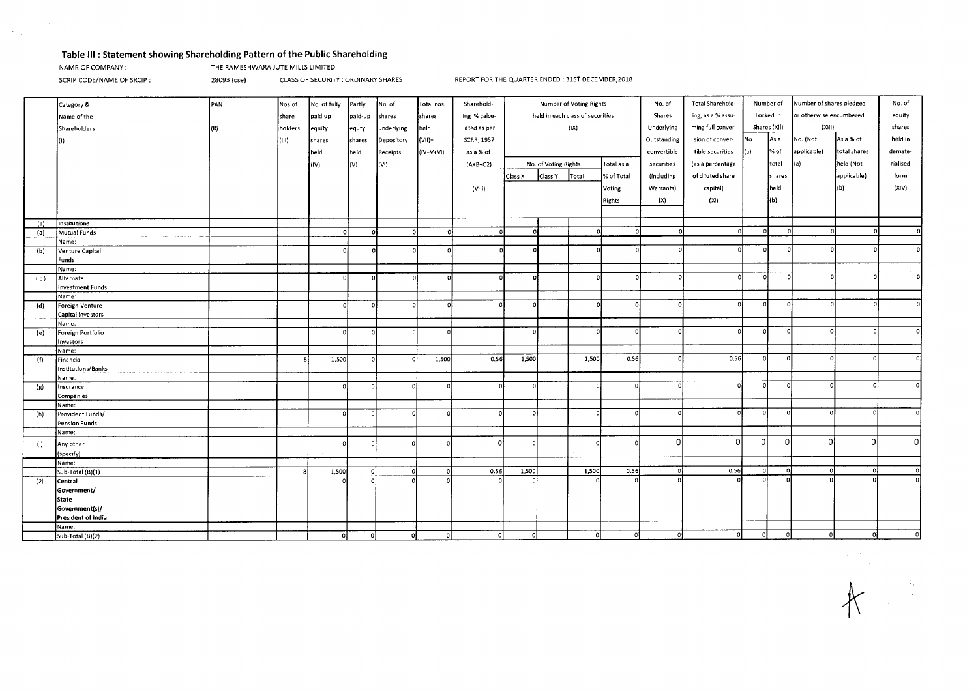### Table Ill : Statement showing Shareholding Pattern of the Public Shareholding

 $\sim 20$ 

NAMR OF COMPANY : THE RAMESHWARA JUTE MILLS LIMITED

SCRIP CODE/NAME OF SRCIP : 28093 (cse) CLASS OF SECURITY : ORDINARY SHARES REPORT FOR THE QUARTER ENDED : 31ST DECEMBER,2018

|     | Category &              | PAN  | Nos.of  | No. of fully | Partly   | No. of     | Total nos.  | Sharehold-        | Number of Voting Rights          |                      | No. of                      | Total Sharehold- | Number of   |                         | Number of shares pledged |              | No. of      |              |          |
|-----|-------------------------|------|---------|--------------|----------|------------|-------------|-------------------|----------------------------------|----------------------|-----------------------------|------------------|-------------|-------------------------|--------------------------|--------------|-------------|--------------|----------|
|     |                         |      |         |              |          |            |             |                   | held in each class of securities |                      |                             |                  |             | or otherwise encumbered |                          |              |             |              |          |
|     | Name of the             |      | share   | paid up      | paid-up  | shares     | shares      | ing % calcu-      |                                  |                      | ing, as a % assu-<br>Shares |                  | Locked in   |                         |                          |              | equity      |              |          |
|     | Shareholders            | (11) | holders | equity       | equty    | underlying | held        | lated as per      |                                  |                      | (IX)                        |                  | Underlying  | ming full conver-       |                          | Shares (XII) | (XIII)      |              | shares   |
|     |                         |      | l(III)  | shares       | shares   | Depository | $=$ (IV)    | <b>SCRR, 1957</b> |                                  |                      |                             |                  | Outstanding | sion of conver-         | No.                      | As a         | No. (Not    | As a % of    | held in  |
|     |                         |      |         | held         | held     | Receipts   | $(IV+V+VI)$ | as a % of         |                                  |                      |                             |                  | convertible | tible securities        | $\vert$ (a)              | % of         | applicable) | total shares | demate-  |
|     |                         |      |         |              |          |            |             |                   |                                  |                      |                             |                  |             |                         |                          |              |             |              |          |
|     |                         |      |         | (IV)         | (V)      | (VI)       |             | $(A+B+C2)$        |                                  | No. of Voting Rights |                             | Total as a       | securities  | (as a percentage        |                          | total        | (a)         | held (Not    | rialised |
|     |                         |      |         |              |          |            |             |                   | Class X                          | Class Y              | Total                       | % of Total       | (including  | of diluted share        |                          | shares       |             | applicable)  | form     |
|     |                         |      |         |              |          |            |             | (VIII)            |                                  |                      |                             | Voting           | Warrants)   | capital)                |                          | held         |             | (b)          | (XIV)    |
|     |                         |      |         |              |          |            |             |                   |                                  |                      |                             | Rights           | (x)         | (XI)                    |                          | (b)          |             |              |          |
|     |                         |      |         |              |          |            |             |                   |                                  |                      |                             |                  |             |                         |                          |              |             |              |          |
|     |                         |      |         |              |          |            |             |                   |                                  |                      |                             |                  |             |                         |                          |              |             |              |          |
| (1) | <b>Institutions</b>     |      |         |              |          |            |             |                   |                                  |                      |                             |                  |             | $\Omega$                | $\Omega$                 | $\Omega$     |             |              | $\Omega$ |
| (a) | Mutual Funds            |      |         | 0            | $\Omega$ | $\Omega$   | οl          | $\mathbf{o}$      |                                  |                      |                             |                  |             |                         |                          |              |             |              |          |
|     | Name:                   |      |         | $\Omega$     |          |            |             |                   |                                  |                      |                             |                  |             |                         | $\Omega$                 |              |             |              |          |
| (b) | Venture Capital         |      |         |              |          |            |             |                   |                                  |                      |                             |                  |             |                         |                          |              |             |              |          |
|     | Funds<br>Name:          |      |         |              |          |            |             |                   |                                  |                      |                             |                  |             |                         |                          |              |             |              |          |
| (c) | Alternate               |      |         |              |          |            |             |                   | $\Omega$                         |                      |                             |                  |             | $\Omega$                | $\circ$                  | $\Omega$     | -6          |              |          |
|     | <b>Investment Funds</b> |      |         |              |          |            |             |                   |                                  |                      |                             |                  |             |                         |                          |              |             |              |          |
|     | Name:                   |      |         |              |          |            |             |                   |                                  |                      |                             |                  |             |                         |                          |              |             |              |          |
| (d) | Foreign Venture         |      |         |              |          | $\Omega$   |             | $\Omega$          | $\Omega$                         |                      |                             |                  | $\Omega$    |                         |                          | $\Omega$     |             |              |          |
|     | Capital Investors       |      |         |              |          |            |             |                   |                                  |                      |                             |                  |             |                         |                          |              |             |              |          |
|     | Name:                   |      |         |              |          |            |             |                   |                                  |                      |                             |                  |             |                         |                          |              |             |              |          |
| (e) | Foreign Portfolio       |      |         |              |          |            |             |                   |                                  |                      |                             |                  |             | $\Omega$                | $\Omega$                 | $\Omega$     |             |              | $\Omega$ |
|     | Investors               |      |         |              |          |            |             |                   |                                  |                      |                             |                  |             |                         |                          |              |             |              |          |
|     | Name:                   |      |         |              |          |            |             |                   |                                  |                      |                             |                  |             |                         |                          |              |             |              |          |
| (f) | Financial               |      | R.      | 1,500        |          |            | 1,500       | 0.56              | 1,500                            |                      | 1,500                       | 0.56             | C           | 0.56                    | $\mathbf{0}$             | n            |             |              |          |
|     | Institutions/Banks      |      |         |              |          |            |             |                   |                                  |                      |                             |                  |             |                         |                          |              |             |              |          |
|     | Name:                   |      |         |              |          |            |             |                   |                                  |                      |                             |                  |             |                         |                          |              |             |              |          |
| (g) | Insurance               |      |         | n            |          | $\Omega$   | $\Omega$    | £.                |                                  |                      | $\Omega$                    |                  |             |                         |                          |              |             |              |          |
|     | Companies               |      |         |              |          |            |             |                   |                                  |                      |                             |                  |             |                         |                          |              |             |              |          |
|     | Name:                   |      |         | n            |          | $\Omega$   | $\Omega$    |                   |                                  |                      | $\Omega$                    |                  |             | $\Omega$                | οl                       | $\Omega$     |             |              |          |
| (h) | Provident Funds/        |      |         |              |          |            |             |                   |                                  |                      |                             |                  |             |                         |                          |              |             |              |          |
|     | Pension Funds<br>Name:  |      |         |              |          |            |             |                   |                                  |                      |                             |                  |             |                         |                          |              |             |              |          |
|     |                         |      |         |              |          |            |             | C                 |                                  |                      |                             |                  | $\Omega$    | $\Omega$                | οI                       | οl           | $\Omega$    | $\Omega$     | 0l       |
| (i) | Any other               |      |         |              |          |            |             |                   |                                  |                      | $\Omega$                    |                  |             |                         |                          |              |             |              |          |
|     | (specify)               |      |         |              |          |            |             |                   |                                  |                      |                             |                  |             |                         |                          |              |             |              |          |
|     | Name:                   |      |         |              |          | $\Omega$   |             | 0.56              |                                  |                      | 1,500                       | 0.56             | $\Omega$    | 0.56                    | $\Omega$                 | $\Omega$     | $\Omega$    |              | οI       |
|     | Sub-Total (B)(1)        |      |         | 1,500        |          |            |             |                   | 1,500                            |                      |                             |                  |             |                         |                          |              |             |              | οI       |
| (2) | Central                 |      |         |              |          |            |             |                   |                                  |                      |                             |                  |             |                         |                          |              |             |              |          |
|     | Government/             |      |         |              |          |            |             |                   |                                  |                      |                             |                  |             |                         |                          |              |             |              |          |
|     | State<br>Government(s)/ |      |         |              |          |            |             |                   |                                  |                      |                             |                  |             |                         |                          |              |             |              |          |
|     | President of India      |      |         |              |          |            |             |                   |                                  |                      |                             |                  |             |                         |                          |              |             |              |          |
|     | Name:                   |      |         |              |          |            |             |                   |                                  |                      |                             |                  |             |                         |                          |              |             |              |          |
|     | Sub-Total (B)(2)        |      |         | οI           | $\Omega$ |            | $\Omega$    | $\Omega$          | $\Omega$                         |                      | $\Omega$                    | ΩI               | $\Omega$    | o                       | o                        | $\Omega$     | ٥l          |              |          |
|     |                         |      |         |              |          |            |             |                   |                                  |                      |                             |                  |             |                         |                          |              |             |              |          |

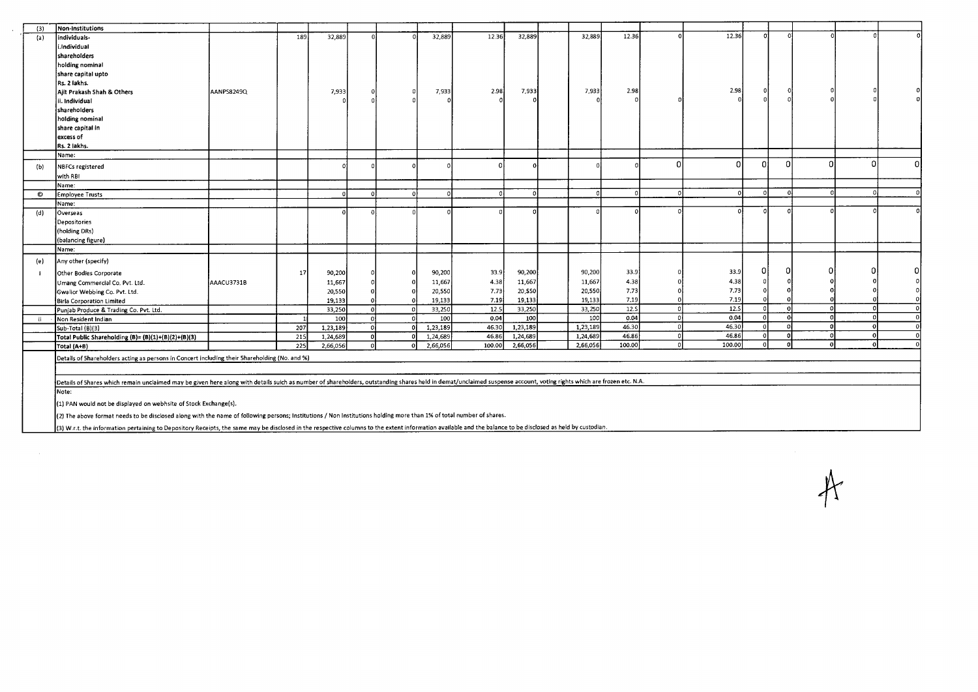| (3)  | Non-Institutions                                                                                                                                                                                                     |            |     |          |            |          |          |        |          |          |        |          |        |              |          |   |              |   |
|------|----------------------------------------------------------------------------------------------------------------------------------------------------------------------------------------------------------------------|------------|-----|----------|------------|----------|----------|--------|----------|----------|--------|----------|--------|--------------|----------|---|--------------|---|
| (a)  | individuals-                                                                                                                                                                                                         |            | 189 | 32,889   | $\sqrt{ }$ |          | 32,889   | 12.36  | 32,889   | 32,889   | 12.36  |          | 12.36  |              |          |   | n            |   |
|      | i.Individual                                                                                                                                                                                                         |            |     |          |            |          |          |        |          |          |        |          |        |              |          |   |              |   |
|      | <b>shareholders</b>                                                                                                                                                                                                  |            |     |          |            |          |          |        |          |          |        |          |        |              |          |   |              |   |
|      | holding nominal                                                                                                                                                                                                      |            |     |          |            |          |          |        |          |          |        |          |        |              |          |   |              |   |
|      | share capital upto                                                                                                                                                                                                   |            |     |          |            |          |          |        |          |          |        |          |        |              |          |   |              |   |
|      | Rs. 2 lakhs.                                                                                                                                                                                                         |            |     |          |            |          |          |        |          |          |        |          |        |              |          |   |              |   |
|      | Ailt Prakash Shah & Others                                                                                                                                                                                           | AANPS8249Q |     | 7,933    |            | 0        | 7,933    | 2.98   | 7,933    | 7,933    | 2.98   |          | 2.98   | 0            |          |   |              |   |
|      | ii. Individual                                                                                                                                                                                                       |            |     |          |            |          |          |        |          |          |        |          |        |              |          |   |              |   |
|      | shareholders                                                                                                                                                                                                         |            |     |          |            |          |          |        |          |          |        |          |        |              |          |   |              |   |
|      | holding nominal                                                                                                                                                                                                      |            |     |          |            |          |          |        |          |          |        |          |        |              |          |   |              |   |
|      | share capital in                                                                                                                                                                                                     |            |     |          |            |          |          |        |          |          |        |          |        |              |          |   |              |   |
|      | excess of                                                                                                                                                                                                            |            |     |          |            |          |          |        |          |          |        |          |        |              |          |   |              |   |
|      | Rs. 2 lakhs.                                                                                                                                                                                                         |            |     |          |            |          |          |        |          |          |        |          |        |              |          |   |              |   |
|      | Name:                                                                                                                                                                                                                |            |     |          |            |          |          |        |          |          |        |          |        |              |          |   |              |   |
| (b)  | NBFCs registered                                                                                                                                                                                                     |            |     |          |            |          |          |        |          |          |        | ∩        |        | n            | U        | n | 0            | ∩ |
|      | with RBI                                                                                                                                                                                                             |            |     |          |            |          |          |        |          |          |        |          |        |              |          |   |              |   |
|      | Name:                                                                                                                                                                                                                |            |     |          |            |          |          |        |          |          |        |          |        |              |          |   |              |   |
| O    | Employee Trusts                                                                                                                                                                                                      |            |     |          | $\Omega$   |          |          |        | $\Omega$ | $\Omega$ |        | $\Omega$ |        | $\Omega$     | -nl      |   |              |   |
|      | Name:                                                                                                                                                                                                                |            |     |          |            |          |          |        |          |          |        |          |        |              |          |   |              |   |
| (d)  | Overseas                                                                                                                                                                                                             |            |     |          |            |          |          |        |          |          |        |          |        |              |          |   |              |   |
|      | Depositories                                                                                                                                                                                                         |            |     |          |            |          |          |        |          |          |        |          |        |              |          |   |              |   |
|      | (holding DRs)                                                                                                                                                                                                        |            |     |          |            |          |          |        |          |          |        |          |        |              |          |   |              |   |
|      | (balancing figure)                                                                                                                                                                                                   |            |     |          |            |          |          |        |          |          |        |          |        |              |          |   |              |   |
|      | Name:                                                                                                                                                                                                                |            |     |          |            |          |          |        |          |          |        |          |        |              |          |   |              |   |
|      |                                                                                                                                                                                                                      |            |     |          |            |          |          |        |          |          |        |          |        |              |          |   |              |   |
| (e)  | Any other (specify)                                                                                                                                                                                                  |            |     |          |            |          |          |        |          |          |        |          |        |              |          |   |              |   |
|      | Other Bodies Corporate                                                                                                                                                                                               |            | 17  | 90,200   |            |          | 90,200   | 33.9   | 90,200   | 90,200   | 33.9   |          | 33.9   |              |          |   |              |   |
|      | Umang Commercial Co. Pvt. Ltd.                                                                                                                                                                                       | AAACU3731B |     | 11,667   |            |          | 11,667   | 4.38   | 11,667   | 11,667   | 4.38   |          | 4.38   |              |          |   |              |   |
|      | Gwalior Webbing Co. Pvt. Ltd.                                                                                                                                                                                        |            |     | 20,550   |            |          | 20,550   | 7.73   | 20,550   | 20,550   | 7.73   |          | 7.73   |              |          |   |              |   |
|      | Birla Corporation Limited                                                                                                                                                                                            |            |     | 19,133   |            |          | 19,133   | 7.19   | 19,133   | 19,133   | 7.19   |          | 7.19   |              |          |   |              |   |
|      | Punjab Produce & Trading Co. Pvt. Ltd.                                                                                                                                                                               |            |     | 33,250   |            | $\Omega$ | 33,250   | 12.5   | 33,250   | 33,250   | 12.S   | $\Omega$ | 12.5   | <sub>0</sub> | $\Omega$ |   | $\Omega$     |   |
| - ii | Non Resident Indian                                                                                                                                                                                                  |            |     | 100      |            |          | 100      | 0.04   | 100      | 100      | 0.04   | $\Omega$ | 0.04   | $\Omega$     | $\Omega$ |   |              |   |
|      | Sub-Total (B)(3)                                                                                                                                                                                                     |            | 207 | 1,23,189 |            |          | 1,23,189 | 46.30  | 1,23,189 | 1,23,189 | 46.30  |          | 46.30  |              |          |   |              |   |
|      | Total Public Shareholding (B)= (B)(1)+(B)(2)+(B)(3)                                                                                                                                                                  |            | 215 | 1,24,689 |            |          | 1,24,689 | 46.86  | 1,24,689 | 1,24,689 | 46.86  | n        | 46.86  | $\Omega$     | n        |   | $\mathbf{o}$ |   |
|      | Total (A+B)                                                                                                                                                                                                          |            | 225 | 2,66,056 |            |          | 2,66,056 | 100.00 | 2,66,056 | 2,66,056 | 100.00 |          | 100.00 | $\Omega$     |          |   |              |   |
|      | Details of Shareholders acting as persons in Concert including their Shareholding (No. and %)                                                                                                                        |            |     |          |            |          |          |        |          |          |        |          |        |              |          |   |              |   |
|      |                                                                                                                                                                                                                      |            |     |          |            |          |          |        |          |          |        |          |        |              |          |   |              |   |
|      |                                                                                                                                                                                                                      |            |     |          |            |          |          |        |          |          |        |          |        |              |          |   |              |   |
|      | Details of Shares which remain unclaimed may be given here along with details suich as number of shareholders, outstanding shares held in demat/unclaimed suspense account, voting rights which are frozen etc. N.A. |            |     |          |            |          |          |        |          |          |        |          |        |              |          |   |              |   |
|      | Note:                                                                                                                                                                                                                |            |     |          |            |          |          |        |          |          |        |          |        |              |          |   |              |   |
|      | (1) PAN would not be displayed on webhsite of Stock Exchange(s).                                                                                                                                                     |            |     |          |            |          |          |        |          |          |        |          |        |              |          |   |              |   |
|      | (2) The above format needs to be disclosed along with the name of following persons; Institutions / Non Institutions holding more than 1% of total number of shares.                                                 |            |     |          |            |          |          |        |          |          |        |          |        |              |          |   |              |   |
|      | (3) W.r.t. the information pertaining to Depository Receipts, the same may be disclosed in the respective columns to the extent information available and the balance to be disclosed as held by custodian.          |            |     |          |            |          |          |        |          |          |        |          |        |              |          |   |              |   |

 $A$ 

(3) W.r.t. the information pertaining to Depository Receipts, the same may be disclosed in the respective columns to the extent information available and the balance to be disclosed as held by custodian.

 $\sim$